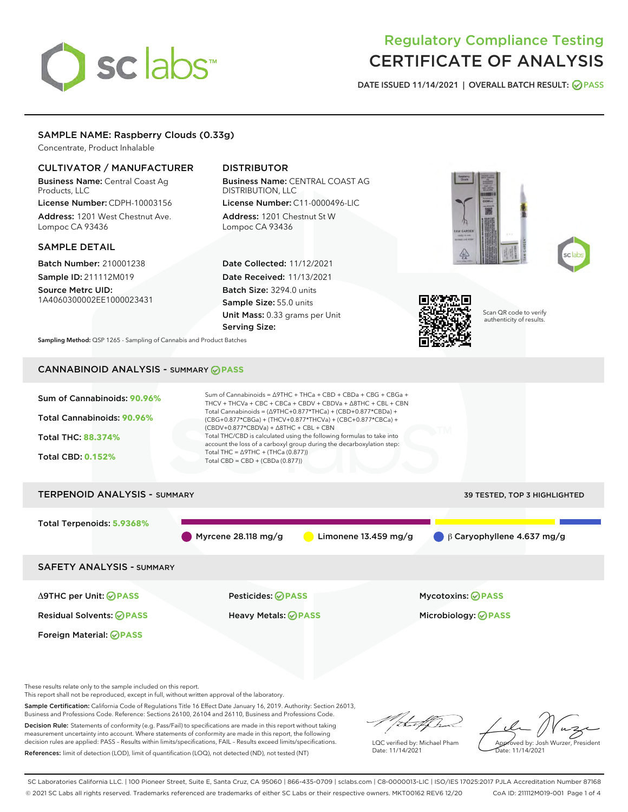# sclabs

# Regulatory Compliance Testing CERTIFICATE OF ANALYSIS

DATE ISSUED 11/14/2021 | OVERALL BATCH RESULT: @ PASS

# SAMPLE NAME: Raspberry Clouds (0.33g)

Concentrate, Product Inhalable

## CULTIVATOR / MANUFACTURER

Business Name: Central Coast Ag Products, LLC

License Number: CDPH-10003156 Address: 1201 West Chestnut Ave. Lompoc CA 93436

### SAMPLE DETAIL

Batch Number: 210001238 Sample ID: 211112M019

Source Metrc UID: 1A4060300002EE1000023431

# DISTRIBUTOR

Business Name: CENTRAL COAST AG DISTRIBUTION, LLC License Number: C11-0000496-LIC

Address: 1201 Chestnut St W Lompoc CA 93436

Date Collected: 11/12/2021 Date Received: 11/13/2021 Batch Size: 3294.0 units Sample Size: 55.0 units Unit Mass: 0.33 grams per Unit Serving Size:







Scan QR code to verify authenticity of results.

Sampling Method: QSP 1265 - Sampling of Cannabis and Product Batches

# CANNABINOID ANALYSIS - SUMMARY **PASS**



These results relate only to the sample included on this report.

This report shall not be reproduced, except in full, without written approval of the laboratory.

Sample Certification: California Code of Regulations Title 16 Effect Date January 16, 2019. Authority: Section 26013, Business and Professions Code. Reference: Sections 26100, 26104 and 26110, Business and Professions Code.

Decision Rule: Statements of conformity (e.g. Pass/Fail) to specifications are made in this report without taking measurement uncertainty into account. Where statements of conformity are made in this report, the following decision rules are applied: PASS – Results within limits/specifications, FAIL – Results exceed limits/specifications. References: limit of detection (LOD), limit of quantification (LOQ), not detected (ND), not tested (NT)

that f In

LQC verified by: Michael Pham Date: 11/14/2021

Approved by: Josh Wurzer, President ate: 11/14/2021

SC Laboratories California LLC. | 100 Pioneer Street, Suite E, Santa Cruz, CA 95060 | 866-435-0709 | sclabs.com | C8-0000013-LIC | ISO/IES 17025:2017 PJLA Accreditation Number 87168 © 2021 SC Labs all rights reserved. Trademarks referenced are trademarks of either SC Labs or their respective owners. MKT00162 REV6 12/20 CoA ID: 211112M019-001 Page 1 of 4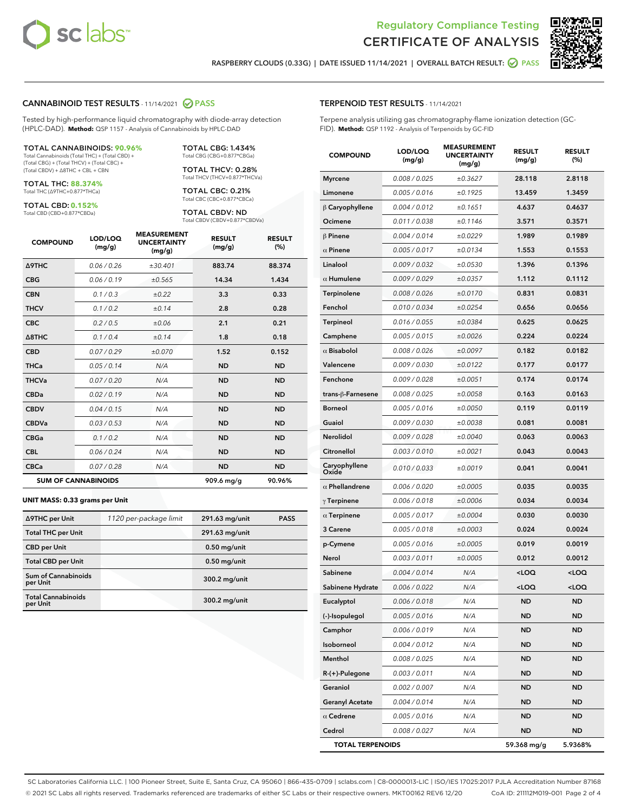



RASPBERRY CLOUDS (0.33G) | DATE ISSUED 11/14/2021 | OVERALL BATCH RESULT:  $\bigcirc$  PASS

#### CANNABINOID TEST RESULTS - 11/14/2021 2 PASS

Tested by high-performance liquid chromatography with diode-array detection (HPLC-DAD). **Method:** QSP 1157 - Analysis of Cannabinoids by HPLC-DAD

#### TOTAL CANNABINOIDS: **90.96%**

Total Cannabinoids (Total THC) + (Total CBD) + (Total CBG) + (Total THCV) + (Total CBC) + (Total CBDV) + ∆8THC + CBL + CBN

TOTAL THC: **88.374%** Total THC (∆9THC+0.877\*THCa)

TOTAL CBD: **0.152%**

Total CBD (CBD+0.877\*CBDa)

TOTAL CBG: 1.434% Total CBG (CBG+0.877\*CBGa)

TOTAL THCV: 0.28% Total THCV (THCV+0.877\*THCVa)

TOTAL CBC: 0.21% Total CBC (CBC+0.877\*CBCa)

TOTAL CBDV: ND Total CBDV (CBDV+0.877\*CBDVa)

| <b>COMPOUND</b>  | LOD/LOQ<br>(mg/g)          | <b>MEASUREMENT</b><br><b>UNCERTAINTY</b><br>(mg/g) | <b>RESULT</b><br>(mg/g) | <b>RESULT</b><br>(%) |
|------------------|----------------------------|----------------------------------------------------|-------------------------|----------------------|
| <b>A9THC</b>     | 0.06 / 0.26                | ±30.401                                            | 883.74                  | 88.374               |
| <b>CBG</b>       | 0.06/0.19                  | ±0.565                                             | 14.34                   | 1.434                |
| <b>CBN</b>       | 0.1 / 0.3                  | ±0.22                                              | 3.3                     | 0.33                 |
| <b>THCV</b>      | 0.1/0.2                    | ±0.14                                              | 2.8                     | 0.28                 |
| <b>CBC</b>       | 0.2 / 0.5                  | ±0.06                                              | 2.1                     | 0.21                 |
| $\triangle$ 8THC | 0.1/0.4                    | ±0.14                                              | 1.8                     | 0.18                 |
| <b>CBD</b>       | 0.07/0.29                  | ±0.070                                             | 1.52                    | 0.152                |
| <b>THCa</b>      | 0.05/0.14                  | N/A                                                | <b>ND</b>               | <b>ND</b>            |
| <b>THCVa</b>     | 0.07 / 0.20                | N/A                                                | <b>ND</b>               | <b>ND</b>            |
| <b>CBDa</b>      | 0.02/0.19                  | N/A                                                | <b>ND</b>               | <b>ND</b>            |
| <b>CBDV</b>      | 0.04 / 0.15                | N/A                                                | <b>ND</b>               | <b>ND</b>            |
| <b>CBDVa</b>     | 0.03/0.53                  | N/A                                                | <b>ND</b>               | <b>ND</b>            |
| <b>CBGa</b>      | 0.1/0.2                    | N/A                                                | <b>ND</b>               | <b>ND</b>            |
| <b>CBL</b>       | 0.06 / 0.24                | N/A                                                | <b>ND</b>               | <b>ND</b>            |
| <b>CBCa</b>      | 0.07/0.28                  | N/A                                                | <b>ND</b>               | <b>ND</b>            |
|                  | <b>SUM OF CANNABINOIDS</b> |                                                    | 909.6 mg/g              | 90.96%               |

#### **UNIT MASS: 0.33 grams per Unit**

| ∆9THC per Unit                         | 1120 per-package limit | 291.63 mg/unit | <b>PASS</b> |
|----------------------------------------|------------------------|----------------|-------------|
| <b>Total THC per Unit</b>              |                        | 291.63 mg/unit |             |
| <b>CBD per Unit</b>                    |                        | $0.50$ mg/unit |             |
| <b>Total CBD per Unit</b>              |                        | $0.50$ mg/unit |             |
| <b>Sum of Cannabinoids</b><br>per Unit |                        | 300.2 mg/unit  |             |
| <b>Total Cannabinoids</b><br>per Unit  |                        | 300.2 mg/unit  |             |

| <b>COMPOUND</b>         | LOD/LOQ<br>(mg/g) | <b>MEASUREMENT</b><br>UNCERTAINTY<br>(mg/g) | <b>RESULT</b><br>(mg/g)                         | <b>RESULT</b><br>$(\%)$ |
|-------------------------|-------------------|---------------------------------------------|-------------------------------------------------|-------------------------|
| <b>Myrcene</b>          | 0.008 / 0.025     | ±0.3627                                     | 28.118                                          | 2.8118                  |
| Limonene                | 0.005 / 0.016     | ±0.1925                                     | 13.459                                          | 1.3459                  |
| $\upbeta$ Caryophyllene | 0.004 / 0.012     | ±0.1651                                     | 4.637                                           | 0.4637                  |
| Ocimene                 | 0.011 / 0.038     | ±0.1146                                     | 3.571                                           | 0.3571                  |
| β Pinene                | 0.004 / 0.014     | ±0.0229                                     | 1.989                                           | 0.1989                  |
| $\alpha$ Pinene         | 0.005 / 0.017     | ±0.0134                                     | 1.553                                           | 0.1553                  |
| Linalool                | 0.009 / 0.032     | ±0.0530                                     | 1.396                                           | 0.1396                  |
| $\alpha$ Humulene       | 0.009/0.029       | ±0.0357                                     | 1.112                                           | 0.1112                  |
| Terpinolene             | 0.008 / 0.026     | ±0.0170                                     | 0.831                                           | 0.0831                  |
| Fenchol                 | 0.010 / 0.034     | ±0.0254                                     | 0.656                                           | 0.0656                  |
| Terpineol               | 0.016 / 0.055     | ±0.0384                                     | 0.625                                           | 0.0625                  |
| Camphene                | 0.005 / 0.015     | ±0.0026                                     | 0.224                                           | 0.0224                  |
| $\alpha$ Bisabolol      | 0.008 / 0.026     | ±0.0097                                     | 0.182                                           | 0.0182                  |
| Valencene               | 0.009 / 0.030     | ±0.0122                                     | 0.177                                           | 0.0177                  |
| Fenchone                | 0.009 / 0.028     | ±0.0051                                     | 0.174                                           | 0.0174                  |
| trans-β-Farnesene       | 0.008 / 0.025     | ±0.0058                                     | 0.163                                           | 0.0163                  |
| <b>Borneol</b>          | 0.005 / 0.016     | ±0.0050                                     | 0.119                                           | 0.0119                  |
| Guaiol                  | 0.009 / 0.030     | ±0.0038                                     | 0.081                                           | 0.0081                  |
| Nerolidol               | 0.009 / 0.028     | ±0.0040                                     | 0.063                                           | 0.0063                  |
| Citronellol             | 0.003 / 0.010     | ±0.0021                                     | 0.043                                           | 0.0043                  |
| Caryophyllene<br>Oxide  | 0.010 / 0.033     | ±0.0019                                     | 0.041                                           | 0.0041                  |
| $\alpha$ Phellandrene   | 0.006 / 0.020     | ±0.0005                                     | 0.035                                           | 0.0035                  |
| $\gamma$ Terpinene      | 0.006 / 0.018     | ±0.0006                                     | 0.034                                           | 0.0034                  |
| $\alpha$ Terpinene      | 0.005 / 0.017     | ±0.0004                                     | 0.030                                           | 0.0030                  |
| 3 Carene                | 0.005 / 0.018     | ±0.0003                                     | 0.024                                           | 0.0024                  |
| p-Cymene                | 0.005 / 0.016     | ±0.0005                                     | 0.019                                           | 0.0019                  |
| Nerol                   | 0.003 / 0.011     | ±0.0005                                     | 0.012                                           | 0.0012                  |
| Sabinene                | 0.004 / 0.014     | N/A                                         | <loq< th=""><th><loq< th=""></loq<></th></loq<> | <loq< th=""></loq<>     |
| Sabinene Hydrate        | 0.006 / 0.022     | N/A                                         | <loq< th=""><th><loq< th=""></loq<></th></loq<> | <loq< th=""></loq<>     |
| Eucalyptol              | 0.006 / 0.018     | N/A                                         | <b>ND</b>                                       | <b>ND</b>               |
| (-)-Isopulegol          | 0.005 / 0.016     | N/A                                         | ND                                              | ND                      |
| Camphor                 | 0.006 / 0.019     | N/A                                         | <b>ND</b>                                       | <b>ND</b>               |
| Isoborneol              | 0.004 / 0.012     | N/A                                         | ND                                              | ND                      |
| Menthol                 | 0.008 / 0.025     | N/A                                         | ND                                              | ND                      |
| R-(+)-Pulegone          | 0.003 / 0.011     | N/A                                         | <b>ND</b>                                       | <b>ND</b>               |
| Geraniol                | 0.002 / 0.007     | N/A                                         | ND                                              | ND                      |
| <b>Geranyl Acetate</b>  | 0.004 / 0.014     | N/A                                         | ND                                              | ND                      |
| $\alpha$ Cedrene        | 0.005 / 0.016     | N/A                                         | ND                                              | ND                      |
| Cedrol                  | 0.008 / 0.027     | N/A                                         | ND                                              | ND                      |

TOTAL TERPENOIDS 59.368 mg/g 5.9368%

SC Laboratories California LLC. | 100 Pioneer Street, Suite E, Santa Cruz, CA 95060 | 866-435-0709 | sclabs.com | C8-0000013-LIC | ISO/IES 17025:2017 PJLA Accreditation Number 87168 © 2021 SC Labs all rights reserved. Trademarks referenced are trademarks of either SC Labs or their respective owners. MKT00162 REV6 12/20 CoA ID: 211112M019-001 Page 2 of 4

# TERPENOID TEST RESULTS - 11/14/2021

Terpene analysis utilizing gas chromatography-flame ionization detection (GC-FID). **Method:** QSP 1192 - Analysis of Terpenoids by GC-FID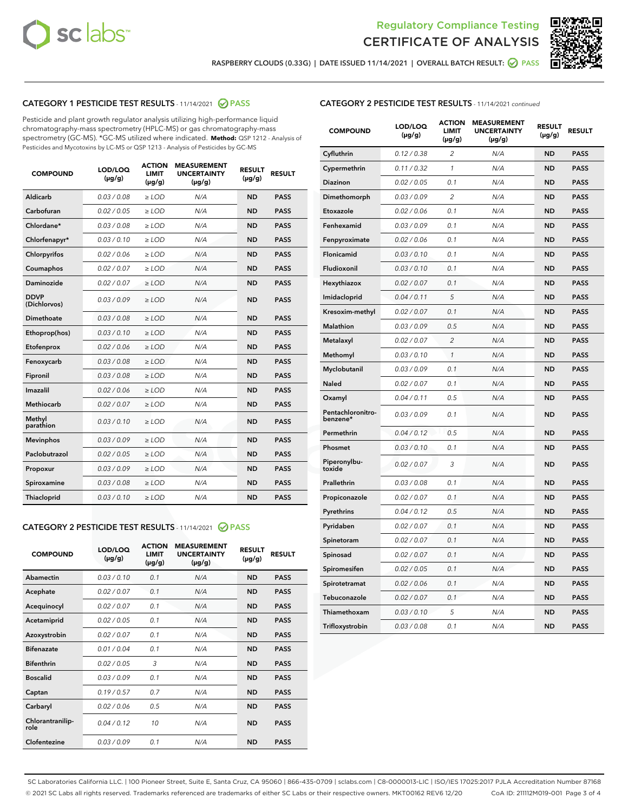



RASPBERRY CLOUDS (0.33G) | DATE ISSUED 11/14/2021 | OVERALL BATCH RESULT: @ PASS

# CATEGORY 1 PESTICIDE TEST RESULTS - 11/14/2021 2 PASS

Pesticide and plant growth regulator analysis utilizing high-performance liquid chromatography-mass spectrometry (HPLC-MS) or gas chromatography-mass spectrometry (GC-MS). \*GC-MS utilized where indicated. **Method:** QSP 1212 - Analysis of Pesticides and Mycotoxins by LC-MS or QSP 1213 - Analysis of Pesticides by GC-MS

| 0.03 / 0.08<br><b>ND</b><br><b>PASS</b><br>Aldicarb<br>$\ge$ LOD<br>N/A<br>Carbofuran<br>0.02 / 0.05<br>$\geq$ LOD<br>N/A<br><b>ND</b><br><b>PASS</b><br>Chlordane*<br>0.03 / 0.08<br>$\ge$ LOD<br>N/A<br><b>ND</b><br><b>PASS</b><br>Chlorfenapyr*<br>0.03/0.10<br>$\geq$ LOD<br>N/A<br><b>ND</b><br><b>PASS</b><br>Chlorpyrifos<br>0.02 / 0.06<br>N/A<br><b>ND</b><br><b>PASS</b><br>$\ge$ LOD<br>Coumaphos<br>0.02 / 0.07<br>N/A<br><b>ND</b><br><b>PASS</b><br>$\ge$ LOD<br>Daminozide<br>0.02 / 0.07<br>N/A<br><b>ND</b><br><b>PASS</b><br>$\ge$ LOD<br><b>DDVP</b><br>0.03/0.09<br>$>$ LOD<br>N/A<br><b>ND</b><br><b>PASS</b><br>(Dichlorvos)<br>Dimethoate<br>0.03 / 0.08<br>$\ge$ LOD<br><b>ND</b><br><b>PASS</b><br>N/A<br>0.03/0.10<br>N/A<br><b>ND</b><br><b>PASS</b><br>Ethoprop(hos)<br>$>$ LOD<br>0.02 / 0.06<br>N/A<br><b>ND</b><br><b>PASS</b><br>$\ge$ LOD<br>Etofenprox<br>Fenoxycarb<br>0.03 / 0.08<br>$\ge$ LOD<br>N/A<br><b>ND</b><br><b>PASS</b><br>0.03 / 0.08<br>$\ge$ LOD<br>N/A<br><b>ND</b><br><b>PASS</b><br>Fipronil<br>Imazalil<br>0.02 / 0.06<br>$>$ LOD<br>N/A<br><b>ND</b><br><b>PASS</b><br><b>Methiocarb</b><br>0.02 / 0.07<br>$\ge$ LOD<br>N/A<br><b>ND</b><br><b>PASS</b><br>Methyl<br>0.03/0.10<br>N/A<br><b>ND</b><br><b>PASS</b><br>$\ge$ LOD<br>parathion<br>0.03/0.09<br><b>Mevinphos</b><br>$\ge$ LOD<br>N/A<br><b>ND</b><br><b>PASS</b><br>Paclobutrazol<br>0.02 / 0.05<br>$>$ LOD<br>N/A<br><b>ND</b><br><b>PASS</b><br>0.03/0.09<br>N/A<br>$\ge$ LOD<br><b>ND</b><br><b>PASS</b><br>Propoxur<br>0.03 / 0.08<br><b>ND</b><br><b>PASS</b><br>Spiroxamine<br>$\ge$ LOD<br>N/A<br>Thiacloprid<br>0.03/0.10<br>$\ge$ LOD<br>N/A<br><b>ND</b><br><b>PASS</b> | <b>COMPOUND</b> | LOD/LOQ<br>$(\mu g/g)$ | <b>ACTION</b><br><b>LIMIT</b><br>$(\mu g/g)$ | <b>MEASUREMENT</b><br><b>UNCERTAINTY</b><br>$(\mu g/g)$ | <b>RESULT</b><br>$(\mu g/g)$ | <b>RESULT</b> |
|------------------------------------------------------------------------------------------------------------------------------------------------------------------------------------------------------------------------------------------------------------------------------------------------------------------------------------------------------------------------------------------------------------------------------------------------------------------------------------------------------------------------------------------------------------------------------------------------------------------------------------------------------------------------------------------------------------------------------------------------------------------------------------------------------------------------------------------------------------------------------------------------------------------------------------------------------------------------------------------------------------------------------------------------------------------------------------------------------------------------------------------------------------------------------------------------------------------------------------------------------------------------------------------------------------------------------------------------------------------------------------------------------------------------------------------------------------------------------------------------------------------------------------------------------------------------------------------------------------------------------------------------------------------------------------------------------|-----------------|------------------------|----------------------------------------------|---------------------------------------------------------|------------------------------|---------------|
|                                                                                                                                                                                                                                                                                                                                                                                                                                                                                                                                                                                                                                                                                                                                                                                                                                                                                                                                                                                                                                                                                                                                                                                                                                                                                                                                                                                                                                                                                                                                                                                                                                                                                                      |                 |                        |                                              |                                                         |                              |               |
|                                                                                                                                                                                                                                                                                                                                                                                                                                                                                                                                                                                                                                                                                                                                                                                                                                                                                                                                                                                                                                                                                                                                                                                                                                                                                                                                                                                                                                                                                                                                                                                                                                                                                                      |                 |                        |                                              |                                                         |                              |               |
|                                                                                                                                                                                                                                                                                                                                                                                                                                                                                                                                                                                                                                                                                                                                                                                                                                                                                                                                                                                                                                                                                                                                                                                                                                                                                                                                                                                                                                                                                                                                                                                                                                                                                                      |                 |                        |                                              |                                                         |                              |               |
|                                                                                                                                                                                                                                                                                                                                                                                                                                                                                                                                                                                                                                                                                                                                                                                                                                                                                                                                                                                                                                                                                                                                                                                                                                                                                                                                                                                                                                                                                                                                                                                                                                                                                                      |                 |                        |                                              |                                                         |                              |               |
|                                                                                                                                                                                                                                                                                                                                                                                                                                                                                                                                                                                                                                                                                                                                                                                                                                                                                                                                                                                                                                                                                                                                                                                                                                                                                                                                                                                                                                                                                                                                                                                                                                                                                                      |                 |                        |                                              |                                                         |                              |               |
|                                                                                                                                                                                                                                                                                                                                                                                                                                                                                                                                                                                                                                                                                                                                                                                                                                                                                                                                                                                                                                                                                                                                                                                                                                                                                                                                                                                                                                                                                                                                                                                                                                                                                                      |                 |                        |                                              |                                                         |                              |               |
|                                                                                                                                                                                                                                                                                                                                                                                                                                                                                                                                                                                                                                                                                                                                                                                                                                                                                                                                                                                                                                                                                                                                                                                                                                                                                                                                                                                                                                                                                                                                                                                                                                                                                                      |                 |                        |                                              |                                                         |                              |               |
|                                                                                                                                                                                                                                                                                                                                                                                                                                                                                                                                                                                                                                                                                                                                                                                                                                                                                                                                                                                                                                                                                                                                                                                                                                                                                                                                                                                                                                                                                                                                                                                                                                                                                                      |                 |                        |                                              |                                                         |                              |               |
|                                                                                                                                                                                                                                                                                                                                                                                                                                                                                                                                                                                                                                                                                                                                                                                                                                                                                                                                                                                                                                                                                                                                                                                                                                                                                                                                                                                                                                                                                                                                                                                                                                                                                                      |                 |                        |                                              |                                                         |                              |               |
|                                                                                                                                                                                                                                                                                                                                                                                                                                                                                                                                                                                                                                                                                                                                                                                                                                                                                                                                                                                                                                                                                                                                                                                                                                                                                                                                                                                                                                                                                                                                                                                                                                                                                                      |                 |                        |                                              |                                                         |                              |               |
|                                                                                                                                                                                                                                                                                                                                                                                                                                                                                                                                                                                                                                                                                                                                                                                                                                                                                                                                                                                                                                                                                                                                                                                                                                                                                                                                                                                                                                                                                                                                                                                                                                                                                                      |                 |                        |                                              |                                                         |                              |               |
|                                                                                                                                                                                                                                                                                                                                                                                                                                                                                                                                                                                                                                                                                                                                                                                                                                                                                                                                                                                                                                                                                                                                                                                                                                                                                                                                                                                                                                                                                                                                                                                                                                                                                                      |                 |                        |                                              |                                                         |                              |               |
|                                                                                                                                                                                                                                                                                                                                                                                                                                                                                                                                                                                                                                                                                                                                                                                                                                                                                                                                                                                                                                                                                                                                                                                                                                                                                                                                                                                                                                                                                                                                                                                                                                                                                                      |                 |                        |                                              |                                                         |                              |               |
|                                                                                                                                                                                                                                                                                                                                                                                                                                                                                                                                                                                                                                                                                                                                                                                                                                                                                                                                                                                                                                                                                                                                                                                                                                                                                                                                                                                                                                                                                                                                                                                                                                                                                                      |                 |                        |                                              |                                                         |                              |               |
|                                                                                                                                                                                                                                                                                                                                                                                                                                                                                                                                                                                                                                                                                                                                                                                                                                                                                                                                                                                                                                                                                                                                                                                                                                                                                                                                                                                                                                                                                                                                                                                                                                                                                                      |                 |                        |                                              |                                                         |                              |               |
|                                                                                                                                                                                                                                                                                                                                                                                                                                                                                                                                                                                                                                                                                                                                                                                                                                                                                                                                                                                                                                                                                                                                                                                                                                                                                                                                                                                                                                                                                                                                                                                                                                                                                                      |                 |                        |                                              |                                                         |                              |               |
|                                                                                                                                                                                                                                                                                                                                                                                                                                                                                                                                                                                                                                                                                                                                                                                                                                                                                                                                                                                                                                                                                                                                                                                                                                                                                                                                                                                                                                                                                                                                                                                                                                                                                                      |                 |                        |                                              |                                                         |                              |               |
|                                                                                                                                                                                                                                                                                                                                                                                                                                                                                                                                                                                                                                                                                                                                                                                                                                                                                                                                                                                                                                                                                                                                                                                                                                                                                                                                                                                                                                                                                                                                                                                                                                                                                                      |                 |                        |                                              |                                                         |                              |               |
|                                                                                                                                                                                                                                                                                                                                                                                                                                                                                                                                                                                                                                                                                                                                                                                                                                                                                                                                                                                                                                                                                                                                                                                                                                                                                                                                                                                                                                                                                                                                                                                                                                                                                                      |                 |                        |                                              |                                                         |                              |               |
|                                                                                                                                                                                                                                                                                                                                                                                                                                                                                                                                                                                                                                                                                                                                                                                                                                                                                                                                                                                                                                                                                                                                                                                                                                                                                                                                                                                                                                                                                                                                                                                                                                                                                                      |                 |                        |                                              |                                                         |                              |               |
|                                                                                                                                                                                                                                                                                                                                                                                                                                                                                                                                                                                                                                                                                                                                                                                                                                                                                                                                                                                                                                                                                                                                                                                                                                                                                                                                                                                                                                                                                                                                                                                                                                                                                                      |                 |                        |                                              |                                                         |                              |               |

#### CATEGORY 2 PESTICIDE TEST RESULTS - 11/14/2021 @ PASS

| <b>COMPOUND</b>          | LOD/LOO<br>$(\mu g/g)$ | <b>ACTION</b><br>LIMIT<br>$(\mu g/g)$ | <b>MEASUREMENT</b><br><b>UNCERTAINTY</b><br>$(\mu g/g)$ | <b>RESULT</b><br>$(\mu g/g)$ | <b>RESULT</b> |
|--------------------------|------------------------|---------------------------------------|---------------------------------------------------------|------------------------------|---------------|
| Abamectin                | 0.03/0.10              | 0.1                                   | N/A                                                     | <b>ND</b>                    | <b>PASS</b>   |
| Acephate                 | 0.02/0.07              | 0.1                                   | N/A                                                     | <b>ND</b>                    | <b>PASS</b>   |
| Acequinocyl              | 0.02/0.07              | 0.1                                   | N/A                                                     | <b>ND</b>                    | <b>PASS</b>   |
| Acetamiprid              | 0.02/0.05              | 0.1                                   | N/A                                                     | <b>ND</b>                    | <b>PASS</b>   |
| Azoxystrobin             | 0.02/0.07              | 0.1                                   | N/A                                                     | <b>ND</b>                    | <b>PASS</b>   |
| <b>Bifenazate</b>        | 0.01 / 0.04            | 0.1                                   | N/A                                                     | <b>ND</b>                    | <b>PASS</b>   |
| <b>Bifenthrin</b>        | 0.02 / 0.05            | 3                                     | N/A                                                     | <b>ND</b>                    | <b>PASS</b>   |
| <b>Boscalid</b>          | 0.03/0.09              | 0.1                                   | N/A                                                     | <b>ND</b>                    | <b>PASS</b>   |
| Captan                   | 0.19/0.57              | 0.7                                   | N/A                                                     | <b>ND</b>                    | <b>PASS</b>   |
| Carbaryl                 | 0.02/0.06              | 0.5                                   | N/A                                                     | <b>ND</b>                    | <b>PASS</b>   |
| Chlorantranilip-<br>role | 0.04/0.12              | 10                                    | N/A                                                     | <b>ND</b>                    | <b>PASS</b>   |
| Clofentezine             | 0.03/0.09              | 0.1                                   | N/A                                                     | <b>ND</b>                    | <b>PASS</b>   |

# CATEGORY 2 PESTICIDE TEST RESULTS - 11/14/2021 continued

| <b>COMPOUND</b>               | LOD/LOQ<br>(µg/g) | <b>ACTION</b><br><b>LIMIT</b><br>$(\mu g/g)$ | <b>MEASUREMENT</b><br><b>UNCERTAINTY</b><br>$(\mu g/g)$ | <b>RESULT</b><br>(µg/g) | <b>RESULT</b> |
|-------------------------------|-------------------|----------------------------------------------|---------------------------------------------------------|-------------------------|---------------|
| Cyfluthrin                    | 0.12 / 0.38       | $\overline{c}$                               | N/A                                                     | <b>ND</b>               | <b>PASS</b>   |
| Cypermethrin                  | 0.11 / 0.32       | 1                                            | N/A                                                     | ND                      | <b>PASS</b>   |
| Diazinon                      | 0.02 / 0.05       | 0.1                                          | N/A                                                     | ND                      | <b>PASS</b>   |
| Dimethomorph                  | 0.03 / 0.09       | 2                                            | N/A                                                     | ND                      | <b>PASS</b>   |
| Etoxazole                     | 0.02 / 0.06       | 0.1                                          | N/A                                                     | <b>ND</b>               | <b>PASS</b>   |
| Fenhexamid                    | 0.03 / 0.09       | 0.1                                          | N/A                                                     | <b>ND</b>               | <b>PASS</b>   |
| Fenpyroximate                 | 0.02 / 0.06       | 0.1                                          | N/A                                                     | ND                      | <b>PASS</b>   |
| Flonicamid                    | 0.03 / 0.10       | 0.1                                          | N/A                                                     | ND                      | <b>PASS</b>   |
| Fludioxonil                   | 0.03 / 0.10       | 0.1                                          | N/A                                                     | <b>ND</b>               | <b>PASS</b>   |
| Hexythiazox                   | 0.02 / 0.07       | 0.1                                          | N/A                                                     | ND                      | <b>PASS</b>   |
| Imidacloprid                  | 0.04 / 0.11       | 5                                            | N/A                                                     | ND                      | <b>PASS</b>   |
| Kresoxim-methyl               | 0.02 / 0.07       | 0.1                                          | N/A                                                     | <b>ND</b>               | <b>PASS</b>   |
| <b>Malathion</b>              | 0.03 / 0.09       | 0.5                                          | N/A                                                     | ND                      | <b>PASS</b>   |
| Metalaxyl                     | 0.02 / 0.07       | $\overline{c}$                               | N/A                                                     | ND                      | <b>PASS</b>   |
| Methomyl                      | 0.03 / 0.10       | 1                                            | N/A                                                     | <b>ND</b>               | <b>PASS</b>   |
| Myclobutanil                  | 0.03 / 0.09       | 0.1                                          | N/A                                                     | ND                      | <b>PASS</b>   |
| Naled                         | 0.02 / 0.07       | 0.1                                          | N/A                                                     | ND                      | <b>PASS</b>   |
| Oxamyl                        | 0.04 / 0.11       | 0.5                                          | N/A                                                     | ND                      | <b>PASS</b>   |
| Pentachloronitro-<br>benzene* | 0.03 / 0.09       | 0.1                                          | N/A                                                     | ND                      | <b>PASS</b>   |
| Permethrin                    | 0.04 / 0.12       | 0.5                                          | N/A                                                     | <b>ND</b>               | <b>PASS</b>   |
| Phosmet                       | 0.03 / 0.10       | 0.1                                          | N/A                                                     | <b>ND</b>               | <b>PASS</b>   |
| Piperonylbu-<br>toxide        | 0.02 / 0.07       | 3                                            | N/A                                                     | ND                      | <b>PASS</b>   |
| Prallethrin                   | 0.03 / 0.08       | 0.1                                          | N/A                                                     | <b>ND</b>               | <b>PASS</b>   |
| Propiconazole                 | 0.02 / 0.07       | 0.1                                          | N/A                                                     | ND                      | <b>PASS</b>   |
| Pyrethrins                    | 0.04 / 0.12       | 0.5                                          | N/A                                                     | ND                      | <b>PASS</b>   |
| Pyridaben                     | 0.02 / 0.07       | 0.1                                          | N/A                                                     | ND                      | <b>PASS</b>   |
| Spinetoram                    | 0.02 / 0.07       | 0.1                                          | N/A                                                     | ND                      | <b>PASS</b>   |
| Spinosad                      | 0.02 / 0.07       | 0.1                                          | N/A                                                     | ND                      | <b>PASS</b>   |
| Spiromesifen                  | 0.02 / 0.05       | 0.1                                          | N/A                                                     | <b>ND</b>               | <b>PASS</b>   |
| Spirotetramat                 | 0.02 / 0.06       | 0.1                                          | N/A                                                     | ND                      | <b>PASS</b>   |
| Tebuconazole                  | 0.02 / 0.07       | 0.1                                          | N/A                                                     | ND                      | <b>PASS</b>   |
| Thiamethoxam                  | 0.03 / 0.10       | 5                                            | N/A                                                     | <b>ND</b>               | <b>PASS</b>   |
| Trifloxystrobin               | 0.03 / 0.08       | 0.1                                          | N/A                                                     | <b>ND</b>               | <b>PASS</b>   |

SC Laboratories California LLC. | 100 Pioneer Street, Suite E, Santa Cruz, CA 95060 | 866-435-0709 | sclabs.com | C8-0000013-LIC | ISO/IES 17025:2017 PJLA Accreditation Number 87168 © 2021 SC Labs all rights reserved. Trademarks referenced are trademarks of either SC Labs or their respective owners. MKT00162 REV6 12/20 CoA ID: 211112M019-001 Page 3 of 4